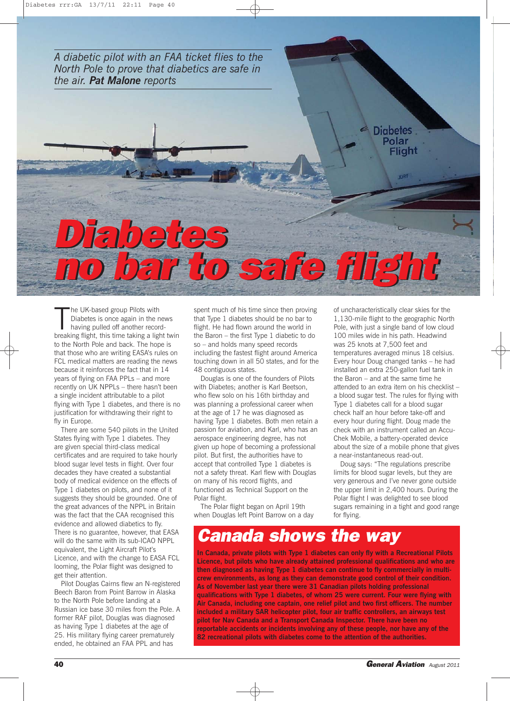*A diabetic pilot with an FAA ticket flies to the North Pole to prove that diabetics are safe in the air. Pat Malone reports*

The UK-based group Pilots with<br>Diabetes is once again in the news<br>having pulled off another record-<br>breaking flight, this time taking a light twin he UK-based group Pilots with Diabetes is once again in the news having pulled off another recordto the North Pole and back. The hope is that those who are writing EASA's rules on FCL medical matters are reading the news because it reinforces the fact that in 14 years of flying on FAA PPLs – and more recently on UK NPPLs – there hasn't been a single incident attributable to a pilot flying with Type 1 diabetes, and there is no justification for withdrawing their right to fly in Europe.

Diabetes Diabetes

There are some 540 pilots in the United States flying with Type 1 diabetes. They are given special third-class medical certificates and are required to take hourly blood sugar level tests in flight. Over four decades they have created a substantial body of medical evidence on the effects of Type 1 diabetes on pilots, and none of it suggests they should be grounded. One of the great advances of the NPPL in Britain was the fact that the CAA recognised this evidence and allowed diabetics to fly. There is no guarantee, however, that EASA will do the same with its sub-ICAO NPPL equivalent, the Light Aircraft Pilot's Licence, and with the change to EASA FCL looming, the Polar flight was designed to get their attention.

Pilot Douglas Cairns flew an N-registered Beech Baron from Point Barrow in Alaska to the North Pole before landing at a Russian ice base 30 miles from the Pole. A former RAF pilot, Douglas was diagnosed as having Type 1 diabetes at the age of 25. His military flying career prematurely ended, he obtained an FAA PPL and has

spent much of his time since then proving that Type 1 diabetes should be no bar to flight. He had flown around the world in the Baron – the first Type 1 diabetic to do so – and holds many speed records including the fastest flight around America touching down in all 50 states, and for the 48 contiguous states.

no bar to safe flight no bar to safe flight

Douglas is one of the founders of Pilots with Diabetes; another is Karl Beetson, who flew solo on his 16th birthday and was planning a professional career when at the age of 17 he was diagnosed as having Type 1 diabetes. Both men retain a passion for aviation, and Karl, who has an aerospace engineering degree, has not given up hope of becoming a professional pilot. But first, the authorities have to accept that controlled Type 1 diabetes is not a safety threat. Karl flew with Douglas on many of his record flights, and functioned as Technical Support on the Polar flight.

The Polar flight began on April 19th when Douglas left Point Barrow on a day of uncharacteristically clear skies for the 1,130-mile flight to the geographic North Pole, with just a single band of low cloud 100 miles wide in his path. Headwind was 25 knots at 7,500 feet and temperatures averaged minus 18 celsius. Every hour Doug changed tanks – he had installed an extra 250-gallon fuel tank in the Baron – and at the same time he attended to an extra item on his checklist – a blood sugar test. The rules for flying with Type 1 diabetes call for a blood sugar check half an hour before take-off and every hour during flight. Doug made the check with an instrument called an Accu-Chek Mobile, a battery-operated device about the size of a mobile phone that gives a near-instantaneous read-out.

**Diabetes** Polar Flight

Doug says: "The regulations prescribe limits for blood sugar levels, but they are very generous and I've never gone outside the upper limit in 2,400 hours. During the Polar flight I was delighted to see blood sugars remaining in a tight and good range for flying.

## Canada shows the way

**In Canada, private pilots with Type 1 diabetes can only fly with a Recreational Pilots Licence, but pilots who have already attained professional qualifications and who are then diagnosed as having Type 1 diabetes can continue to fly commercially in multicrew environments, as long as they can demonstrate good control of their condition. As of November last year there were 31 Canadian pilots holding professional qualifications with Type 1 diabetes, of whom 25 were current. Four were flying with Air Canada, including one captain, one relief pilot and two first officers. The number included a military SAR helicopter pilot, four air traffic controllers, an airways test pilot for Nav Canada and a Transport Canada Inspector. There have been no reportable accidents or incidents involving any of these people, nor have any of the 82 recreational pilots with diabetes come to the attention of the authorities.**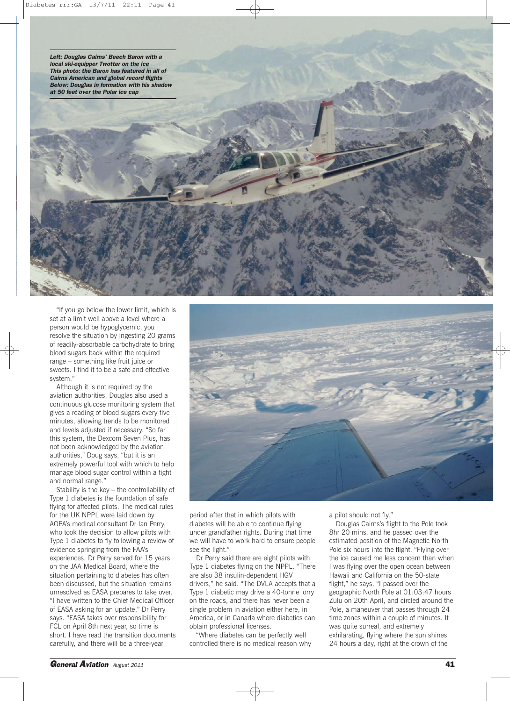Left: Douglas Cairns' Beech Baron with a local ski-equipper Twotter on the ice This photo: the Baron has featured in all of Cairns American and global record flights Below: Douglas in formation with his shadow at 50 feet over the Polar ice cap

"If you go below the lower limit, which is set at a limit well above a level where a person would be hypoglycemic, you resolve the situation by ingesting 20 grams of readily-absorbable carbohydrate to bring blood sugars back within the required range – something like fruit juice or sweets. I find it to be a safe and effective system."

Although it is not required by the aviation authorities, Douglas also used a continuous glucose monitoring system that gives a reading of blood sugars every five minutes, allowing trends to be monitored and levels adjusted if necessary. "So far this system, the Dexcom Seven Plus, has not been acknowledged by the aviation authorities," Doug says, "but it is an extremely powerful tool with which to help manage blood sugar control within a tight and normal range."

Stability is the key – the controllability of Type 1 diabetes is the foundation of safe flying for affected pilots. The medical rules for the UK NPPL were laid down by AOPA's medical consultant Dr Ian Perry, who took the decision to allow pilots with Type 1 diabetes to fly following a review of evidence springing from the FAA's experiences. Dr Perry served for 15 years on the JAA Medical Board, where the situation pertaining to diabetes has often been discussed, but the situation remains unresolved as EASA prepares to take over. "I have written to the Chief Medical Officer of EASA asking for an update," Dr Perry says. "EASA takes over responsibility for FCL on April 8th next year, so time is short. I have read the transition documents carefully, and there will be a three-year



period after that in which pilots with diabetes will be able to continue flying under grandfather rights. During that time we will have to work hard to ensure people see the light."

Dr Perry said there are eight pilots with Type 1 diabetes flying on the NPPL. "There are also 38 insulin-dependent HGV drivers," he said. "The DVLA accepts that a Type 1 diabetic may drive a 40-tonne lorry on the roads, and there has never been a single problem in aviation either here, in America, or in Canada where diabetics can obtain professional licenses.

"Where diabetes can be perfectly well controlled there is no medical reason why a pilot should not fly."

Douglas Cairns's flight to the Pole took 8hr 20 mins, and he passed over the estimated position of the Magnetic North Pole six hours into the flight. "Flying over the ice caused me less concern than when I was flying over the open ocean between Hawaii and California on the 50-state flight," he says. "I passed over the geographic North Pole at 01:03:47 hours Zulu on 20th April, and circled around the Pole, a maneuver that passes through 24 time zones within a couple of minutes. It was quite surreal, and extremely exhilarating, flying where the sun shines 24 hours a day, right at the crown of the